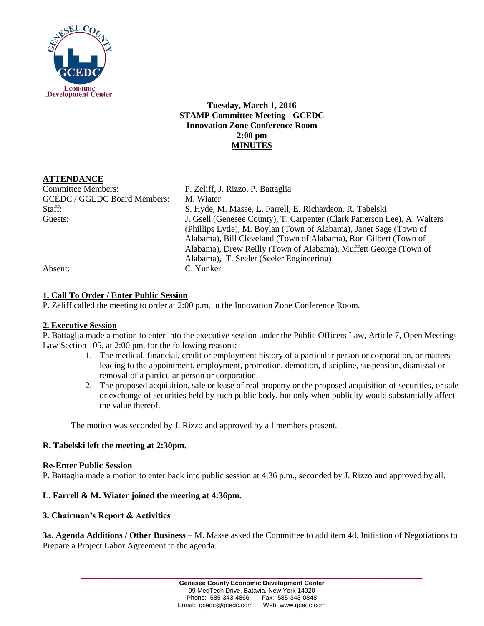

**Tuesday, March 1, 2016 STAMP Committee Meeting - GCEDC Innovation Zone Conference Room 2:00 pm MINUTES**

## **ATTENDANCE**

Committee Members: P. Zeliff, J. Rizzo, P. Battaglia GCEDC / GGLDC Board Members: M. Wiater

Staff: S. Hyde, M. Masse, L. Farrell, E. Richardson, R. Tabelski Guests: J. Gsell (Genesee County), T. Carpenter (Clark Patterson Lee), A. Walters (Phillips Lytle), M. Boylan (Town of Alabama), Janet Sage (Town of Alabama), Bill Cleveland (Town of Alabama), Ron Gilbert (Town of Alabama), Drew Reilly (Town of Alabama), Muffett George (Town of Alabama), T. Seeler (Seeler Engineering) Absent: C. Yunker

### **1. Call To Order / Enter Public Session**

P. Zeliff called the meeting to order at 2:00 p.m. in the Innovation Zone Conference Room.

#### **2. Executive Session**

P. Battaglia made a motion to enter into the executive session under the Public Officers Law, Article 7, Open Meetings Law Section 105, at 2:00 pm, for the following reasons:

- 1. The medical, financial, credit or employment history of a particular person or corporation, or matters leading to the appointment, employment, promotion, demotion, discipline, suspension, dismissal or removal of a particular person or corporation.
- 2. The proposed acquisition, sale or lease of real property or the proposed acquisition of securities, or sale or exchange of securities held by such public body, but only when publicity would substantially affect the value thereof.

The motion was seconded by J. Rizzo and approved by all members present.

#### **R. Tabelski left the meeting at 2:30pm.**

#### **Re-Enter Public Session**

P. Battaglia made a motion to enter back into public session at 4:36 p.m., seconded by J. Rizzo and approved by all.

#### **L. Farrell & M. Wiater joined the meeting at 4:36pm.**

#### **3. Chairman's Report & Activities**

**3a. Agenda Additions / Other Business –** M. Masse asked the Committee to add item 4d. Initiation of Negotiations to Prepare a Project Labor Agreement to the agenda.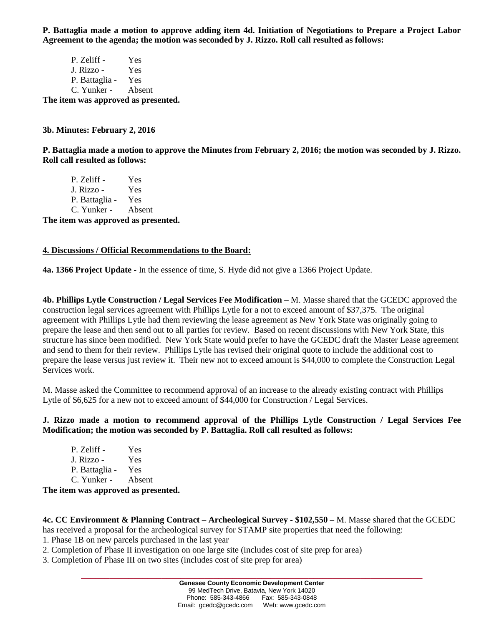**P. Battaglia made a motion to approve adding item 4d. Initiation of Negotiations to Prepare a Project Labor Agreement to the agenda; the motion was seconded by J. Rizzo. Roll call resulted as follows:**

P. Zeliff - Yes J. Rizzo - Yes P. Battaglia - Yes C. Yunker - Absent **The item was approved as presented.**

#### **3b. Minutes: February 2, 2016**

**P. Battaglia made a motion to approve the Minutes from February 2, 2016; the motion was seconded by J. Rizzo. Roll call resulted as follows:**

P. Zeliff - Yes J. Rizzo - Yes P. Battaglia - Yes C. Yunker - Absent **The item was approved as presented.**

# **4. Discussions / Official Recommendations to the Board:**

**4a. 1366 Project Update -** In the essence of time, S. Hyde did not give a 1366 Project Update.

**4b. Phillips Lytle Construction / Legal Services Fee Modification –** M. Masse shared that the GCEDC approved the construction legal services agreement with Phillips Lytle for a not to exceed amount of \$37,375. The original agreement with Phillips Lytle had them reviewing the lease agreement as New York State was originally going to prepare the lease and then send out to all parties for review. Based on recent discussions with New York State, this structure has since been modified. New York State would prefer to have the GCEDC draft the Master Lease agreement and send to them for their review. Phillips Lytle has revised their original quote to include the additional cost to prepare the lease versus just review it. Their new not to exceed amount is \$44,000 to complete the Construction Legal Services work.

M. Masse asked the Committee to recommend approval of an increase to the already existing contract with Phillips Lytle of \$6,625 for a new not to exceed amount of \$44,000 for Construction / Legal Services.

**J. Rizzo made a motion to recommend approval of the Phillips Lytle Construction / Legal Services Fee Modification; the motion was seconded by P. Battaglia. Roll call resulted as follows:**

| P. Zeliff -    | Yes    |
|----------------|--------|
| J. Rizzo -     | Yes    |
| P. Battaglia - | Yes    |
| C. Yunker -    | Absent |
|                |        |

**The item was approved as presented.**

**4c. CC Environment & Planning Contract – Archeological Survey - \$102,550 –** M. Masse shared that the GCEDC has received a proposal for the archeological survey for STAMP site properties that need the following:

1. Phase 1B on new parcels purchased in the last year

2. Completion of Phase II investigation on one large site (includes cost of site prep for area)

3. Completion of Phase III on two sites (includes cost of site prep for area)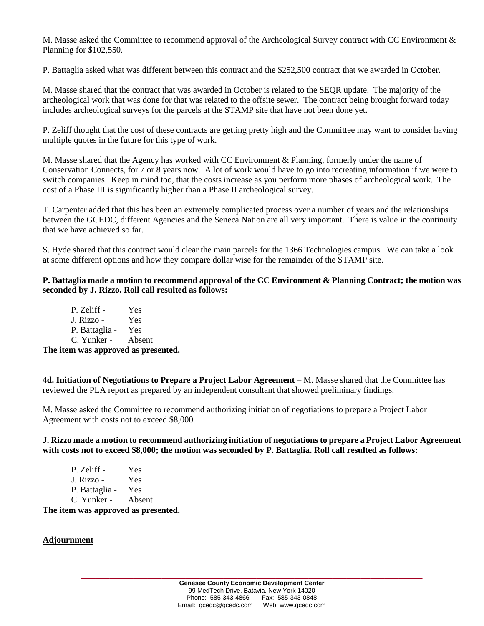M. Masse asked the Committee to recommend approval of the Archeological Survey contract with CC Environment & Planning for \$102,550.

P. Battaglia asked what was different between this contract and the \$252,500 contract that we awarded in October.

M. Masse shared that the contract that was awarded in October is related to the SEQR update. The majority of the archeological work that was done for that was related to the offsite sewer. The contract being brought forward today includes archeological surveys for the parcels at the STAMP site that have not been done yet.

P. Zeliff thought that the cost of these contracts are getting pretty high and the Committee may want to consider having multiple quotes in the future for this type of work.

M. Masse shared that the Agency has worked with CC Environment & Planning, formerly under the name of Conservation Connects, for 7 or 8 years now. A lot of work would have to go into recreating information if we were to switch companies. Keep in mind too, that the costs increase as you perform more phases of archeological work. The cost of a Phase III is significantly higher than a Phase II archeological survey.

T. Carpenter added that this has been an extremely complicated process over a number of years and the relationships between the GCEDC, different Agencies and the Seneca Nation are all very important. There is value in the continuity that we have achieved so far.

S. Hyde shared that this contract would clear the main parcels for the 1366 Technologies campus. We can take a look at some different options and how they compare dollar wise for the remainder of the STAMP site.

**P. Battaglia made a motion to recommend approval of the CC Environment & Planning Contract; the motion was seconded by J. Rizzo. Roll call resulted as follows:**

| P. Zeliff -    | Yes    |
|----------------|--------|
| J. Rizzo -     | Yes    |
| P. Battaglia - | Yes    |
| C. Yunker -    | Absent |
|                |        |

**The item was approved as presented.**

**4d. Initiation of Negotiations to Prepare a Project Labor Agreement –** M. Masse shared that the Committee has reviewed the PLA report as prepared by an independent consultant that showed preliminary findings.

M. Masse asked the Committee to recommend authorizing initiation of negotiations to prepare a Project Labor Agreement with costs not to exceed \$8,000.

**J. Rizzo made a motion to recommend authorizing initiation of negotiations to prepare a Project Labor Agreement with costs not to exceed \$8,000; the motion was seconded by P. Battaglia. Roll call resulted as follows:**

| P. Zeliff -    | Yes    |
|----------------|--------|
| J. Rizzo -     | Yes    |
| P. Battaglia - | Yes    |
| C. Yunker -    | Absent |
|                |        |

**The item was approved as presented.**

#### **Adjournment**